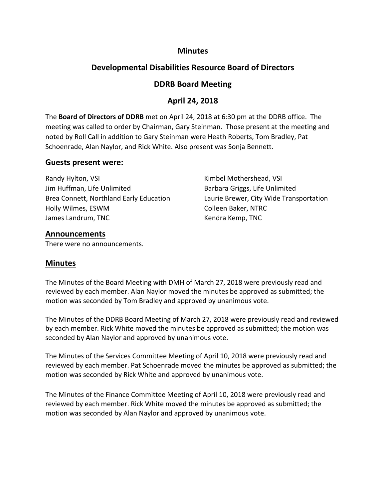### **Minutes**

# **Developmental Disabilities Resource Board of Directors**

# **DDRB Board Meeting**

# **April 24, 2018**

The **Board of Directors of DDRB** met on April 24, 2018 at 6:30 pm at the DDRB office. The meeting was called to order by Chairman, Gary Steinman. Those present at the meeting and noted by Roll Call in addition to Gary Steinman were Heath Roberts, Tom Bradley, Pat Schoenrade, Alan Naylor, and Rick White. Also present was Sonja Bennett.

#### **Guests present were:**

Randy Hylton, VSI **Randy Hylton, VSI Kimbel Mothershead, VSI** Jim Huffman, Life Unlimited **Barbara Griggs, Life Unlimited** Barbara Griggs, Life Unlimited Brea Connett, Northland Early Education Laurie Brewer, City Wide Transportation Holly Wilmes, ESWM Colleen Baker, NTRC James Landrum, TNC **Kendra Kemp, TNC** 

### **Announcements**

There were no announcements.

# **Minutes**

The Minutes of the Board Meeting with DMH of March 27, 2018 were previously read and reviewed by each member. Alan Naylor moved the minutes be approved as submitted; the motion was seconded by Tom Bradley and approved by unanimous vote.

The Minutes of the DDRB Board Meeting of March 27, 2018 were previously read and reviewed by each member. Rick White moved the minutes be approved as submitted; the motion was seconded by Alan Naylor and approved by unanimous vote.

The Minutes of the Services Committee Meeting of April 10, 2018 were previously read and reviewed by each member. Pat Schoenrade moved the minutes be approved as submitted; the motion was seconded by Rick White and approved by unanimous vote.

The Minutes of the Finance Committee Meeting of April 10, 2018 were previously read and reviewed by each member. Rick White moved the minutes be approved as submitted; the motion was seconded by Alan Naylor and approved by unanimous vote.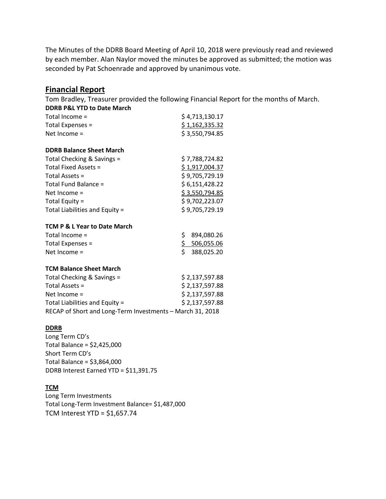The Minutes of the DDRB Board Meeting of April 10, 2018 were previously read and reviewed by each member. Alan Naylor moved the minutes be approved as submitted; the motion was seconded by Pat Schoenrade and approved by unanimous vote.

### **Financial Report**

Tom Bradley, Treasurer provided the following Financial Report for the months of March.

| \$4,713,130.17 |
|----------------|
| \$1,162,335.32 |
| \$3,550,794.85 |
|                |

#### **DDRB Balance Sheet March**

| Total Checking & Savings =     | \$7,788,724.82 |
|--------------------------------|----------------|
| Total Fixed Assets =           | \$1,917,004.37 |
| Total Assets =                 | \$9,705,729.19 |
| Total Fund Balance =           | \$6,151,428.22 |
| Net Income $=$                 | \$3,550,794.85 |
| Total Equity $=$               | \$9,702,223.07 |
| Total Liabilities and Equity = | \$9,705,729.19 |

#### **TCM P & L Year to Date March**

| Total Income $=$   | \$894,080.26 |
|--------------------|--------------|
| Total Expenses $=$ | \$506,055.06 |
| Net Income $=$     | \$388,025.20 |

#### **TCM Balance Sheet March**

| Total Checking & Savings =                                | \$2,137,597.88 |
|-----------------------------------------------------------|----------------|
| Total Assets =                                            | \$2,137,597.88 |
| Net Income $=$                                            | \$2,137,597.88 |
| Total Liabilities and Equity =                            | \$2,137,597.88 |
| RECAP of Short and Long-Term Investments - March 31, 2018 |                |

#### **DDRB**

Long Term CD's Total Balance = \$2,425,000 Short Term CD's Total Balance = \$3,864,000 DDRB Interest Earned YTD = \$11,391.75

#### **TCM**

Long Term Investments Total Long-Term Investment Balance= \$1,487,000 TCM Interest YTD = \$1,657.74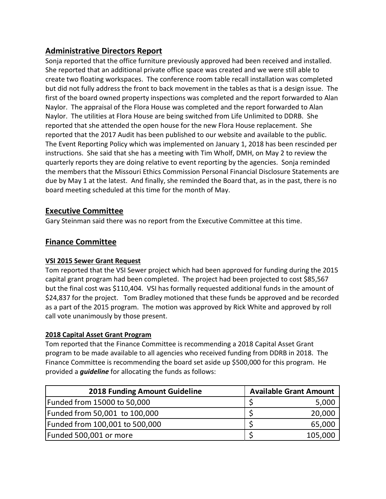# **Administrative Directors Report**

Sonja reported that the office furniture previously approved had been received and installed. She reported that an additional private office space was created and we were still able to create two floating workspaces. The conference room table recall installation was completed but did not fully address the front to back movement in the tables as that is a design issue. The first of the board owned property inspections was completed and the report forwarded to Alan Naylor. The appraisal of the Flora House was completed and the report forwarded to Alan Naylor. The utilities at Flora House are being switched from Life Unlimited to DDRB. She reported that she attended the open house for the new Flora House replacement. She reported that the 2017 Audit has been published to our website and available to the public. The Event Reporting Policy which was implemented on January 1, 2018 has been rescinded per instructions. She said that she has a meeting with Tim Wholf, DMH, on May 2 to review the quarterly reports they are doing relative to event reporting by the agencies. Sonja reminded the members that the Missouri Ethics Commission Personal Financial Disclosure Statements are due by May 1 at the latest. And finally, she reminded the Board that, as in the past, there is no board meeting scheduled at this time for the month of May.

# **Executive Committee**

Gary Steinman said there was no report from the Executive Committee at this time.

# **Finance Committee**

# **VSI 2015 Sewer Grant Request**

Tom reported that the VSI Sewer project which had been approved for funding during the 2015 capital grant program had been completed. The project had been projected to cost \$85,567 but the final cost was \$110,404. VSI has formally requested additional funds in the amount of \$24,837 for the project. Tom Bradley motioned that these funds be approved and be recorded as a part of the 2015 program. The motion was approved by Rick White and approved by roll call vote unanimously by those present.

# **2018 Capital Asset Grant Program**

Tom reported that the Finance Committee is recommending a 2018 Capital Asset Grant program to be made available to all agencies who received funding from DDRB in 2018. The Finance Committee is recommending the board set aside up \$500,000 for this program. He provided a *guideline* for allocating the funds as follows:

| <b>2018 Funding Amount Guideline</b> | <b>Available Grant Amount</b> |         |
|--------------------------------------|-------------------------------|---------|
| Funded from 15000 to 50,000          |                               | 5,000   |
| Funded from 50,001 to 100,000        |                               | 20,000  |
| Funded from 100,001 to 500,000       |                               | 65,000  |
| Funded 500,001 or more               |                               | 105,000 |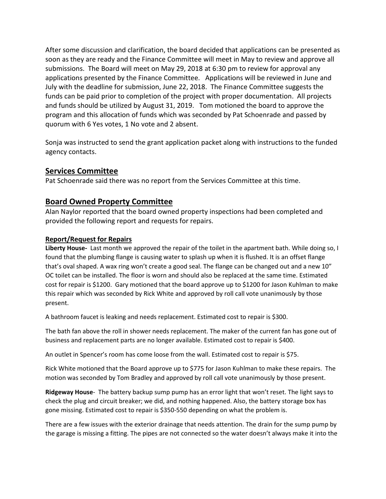After some discussion and clarification, the board decided that applications can be presented as soon as they are ready and the Finance Committee will meet in May to review and approve all submissions. The Board will meet on May 29, 2018 at 6:30 pm to review for approval any applications presented by the Finance Committee. Applications will be reviewed in June and July with the deadline for submission, June 22, 2018. The Finance Committee suggests the funds can be paid prior to completion of the project with proper documentation. All projects and funds should be utilized by August 31, 2019. Tom motioned the board to approve the program and this allocation of funds which was seconded by Pat Schoenrade and passed by quorum with 6 Yes votes, 1 No vote and 2 absent.

Sonja was instructed to send the grant application packet along with instructions to the funded agency contacts.

# **Services Committee**

Pat Schoenrade said there was no report from the Services Committee at this time.

### **Board Owned Property Committee**

Alan Naylor reported that the board owned property inspections had been completed and provided the following report and requests for repairs.

#### **Report/Request for Repairs**

**Liberty House-** Last month we approved the repair of the toilet in the apartment bath. While doing so, I found that the plumbing flange is causing water to splash up when it is flushed. It is an offset flange that's oval shaped. A wax ring won't create a good seal. The flange can be changed out and a new 10" OC toilet can be installed. The floor is worn and should also be replaced at the same time. Estimated cost for repair is \$1200. Gary motioned that the board approve up to \$1200 for Jason Kuhlman to make this repair which was seconded by Rick White and approved by roll call vote unanimously by those present.

A bathroom faucet is leaking and needs replacement. Estimated cost to repair is \$300.

The bath fan above the roll in shower needs replacement. The maker of the current fan has gone out of business and replacement parts are no longer available. Estimated cost to repair is \$400.

An outlet in Spencer's room has come loose from the wall. Estimated cost to repair is \$75.

Rick White motioned that the Board approve up to \$775 for Jason Kuhlman to make these repairs. The motion was seconded by Tom Bradley and approved by roll call vote unanimously by those present.

**Ridgeway House**- The battery backup sump pump has an error light that won't reset. The light says to check the plug and circuit breaker; we did, and nothing happened. Also, the battery storage box has gone missing. Estimated cost to repair is \$350-550 depending on what the problem is.

There are a few issues with the exterior drainage that needs attention. The drain for the sump pump by the garage is missing a fitting. The pipes are not connected so the water doesn't always make it into the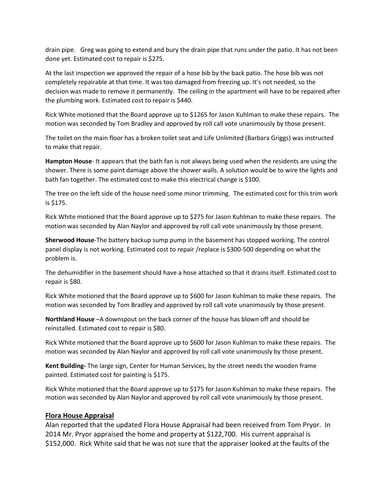drain pipe. Greg was going to extend and bury the drain pipe that runs under the patio. It has not been done yet. Estimated cost to repair is \$275.

At the last inspection we approved the repair of a hose bib by the back patio. The hose bib was not completely repairable at that time. It was too damaged from freezing up. It's not needed, so the decision was made to remove it permanently. The ceiling in the apartment will have to be repaired after the plumbing work. Estimated cost to repair is \$440.

Rick White motioned that the Board approve up to \$1265 for Jason Kuhlman to make these repairs. The motion was seconded by Tom Bradley and approved by roll call vote unanimously by those present.

The toilet on the main floor has a broken toilet seat and Life Unlimited (Barbara Griggs) was instructed to make that repair.

**Hampton House**- It appears that the bath fan is not always being used when the residents are using the shower. There is some paint damage above the shower walls. A solution would be to wire the lights and bath fan together. The estimated cost to make this electrical change is \$100.

The tree on the left side of the house need some minor trimming. The estimated cost for this trim work is \$175.

Rick White motioned that the Board approve up to \$275 for Jason Kuhlman to make these repairs. The motion was seconded by Alan Naylor and approved by roll call vote unanimously by those present.

**Sherwood House**-The battery backup sump pump in the basement has stopped working. The control panel display is not working. Estimated cost to repair /replace is \$300-500 depending on what the problem is.

The dehumidifier in the basement should have a hose attached so that it drains itself. Estimated cost to repair is \$80.

Rick White motioned that the Board approve up to \$600 for Jason Kuhlman to make these repairs. The motion was seconded by Tom Bradley and approved by roll call vote unanimously by those present.

**Northland House** –A downspout on the back corner of the house has blown off and should be reinstalled. Estimated cost to repair is \$80.

Rick White motioned that the Board approve up to \$600 for Jason Kuhlman to make these repairs. The motion was seconded by Alan Naylor and approved by roll call vote unanimously by those present.

**Kent Building-** The large sign, Center for Human Services, by the street needs the wooden frame painted. Estimated cost for painting is \$175.

Rick White motioned that the Board approve up to \$175 for Jason Kuhlman to make these repairs. The motion was seconded by Alan Naylor and approved by roll call vote unanimously by those present.

#### **Flora House Appraisal**

Alan reported that the updated Flora House Appraisal had been received from Tom Pryor. In 2014 Mr. Pryor appraised the home and property at \$122,700. His current appraisal is \$152,000. Rick White said that he was not sure that the appraiser looked at the faults of the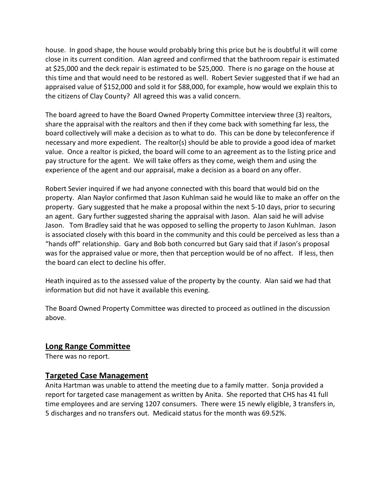house. In good shape, the house would probably bring this price but he is doubtful it will come close in its current condition. Alan agreed and confirmed that the bathroom repair is estimated at \$25,000 and the deck repair is estimated to be \$25,000. There is no garage on the house at this time and that would need to be restored as well. Robert Sevier suggested that if we had an appraised value of \$152,000 and sold it for \$88,000, for example, how would we explain this to the citizens of Clay County? All agreed this was a valid concern.

The board agreed to have the Board Owned Property Committee interview three (3) realtors, share the appraisal with the realtors and then if they come back with something far less, the board collectively will make a decision as to what to do. This can be done by teleconference if necessary and more expedient. The realtor(s) should be able to provide a good idea of market value. Once a realtor is picked, the board will come to an agreement as to the listing price and pay structure for the agent. We will take offers as they come, weigh them and using the experience of the agent and our appraisal, make a decision as a board on any offer.

Robert Sevier inquired if we had anyone connected with this board that would bid on the property. Alan Naylor confirmed that Jason Kuhlman said he would like to make an offer on the property. Gary suggested that he make a proposal within the next 5-10 days, prior to securing an agent. Gary further suggested sharing the appraisal with Jason. Alan said he will advise Jason. Tom Bradley said that he was opposed to selling the property to Jason Kuhlman. Jason is associated closely with this board in the community and this could be perceived as less than a "hands off" relationship. Gary and Bob both concurred but Gary said that if Jason's proposal was for the appraised value or more, then that perception would be of no affect. If less, then the board can elect to decline his offer.

Heath inquired as to the assessed value of the property by the county. Alan said we had that information but did not have it available this evening.

The Board Owned Property Committee was directed to proceed as outlined in the discussion above.

#### **Long Range Committee**

There was no report.

# **Targeted Case Management**

Anita Hartman was unable to attend the meeting due to a family matter. Sonja provided a report for targeted case management as written by Anita. She reported that CHS has 41 full time employees and are serving 1207 consumers. There were 15 newly eligible, 3 transfers in, 5 discharges and no transfers out. Medicaid status for the month was 69.52%.